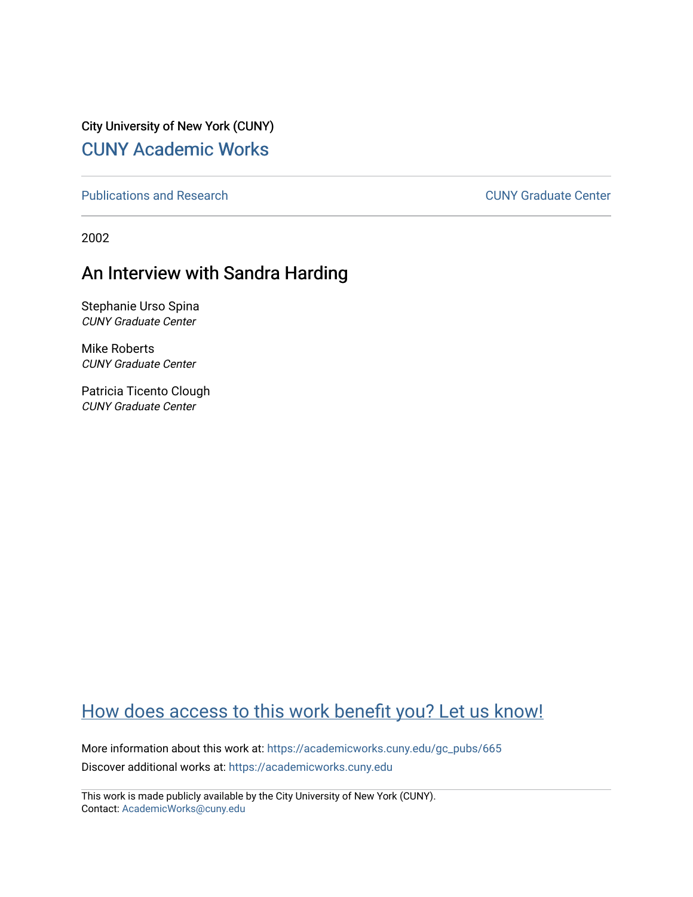City University of New York (CUNY) [CUNY Academic Works](https://academicworks.cuny.edu/) 

[Publications and Research](https://academicworks.cuny.edu/gc_pubs) [CUNY Graduate Center](https://academicworks.cuny.edu/gc) 

2002

## An Interview with Sandra Harding

Stephanie Urso Spina CUNY Graduate Center

Mike Roberts CUNY Graduate Center

Patricia Ticento Clough CUNY Graduate Center

## [How does access to this work benefit you? Let us know!](http://ols.cuny.edu/academicworks/?ref=https://academicworks.cuny.edu/gc_pubs/665)

More information about this work at: [https://academicworks.cuny.edu/gc\\_pubs/665](https://academicworks.cuny.edu/gc_pubs/665) Discover additional works at: [https://academicworks.cuny.edu](https://academicworks.cuny.edu/?)

This work is made publicly available by the City University of New York (CUNY). Contact: [AcademicWorks@cuny.edu](mailto:AcademicWorks@cuny.edu)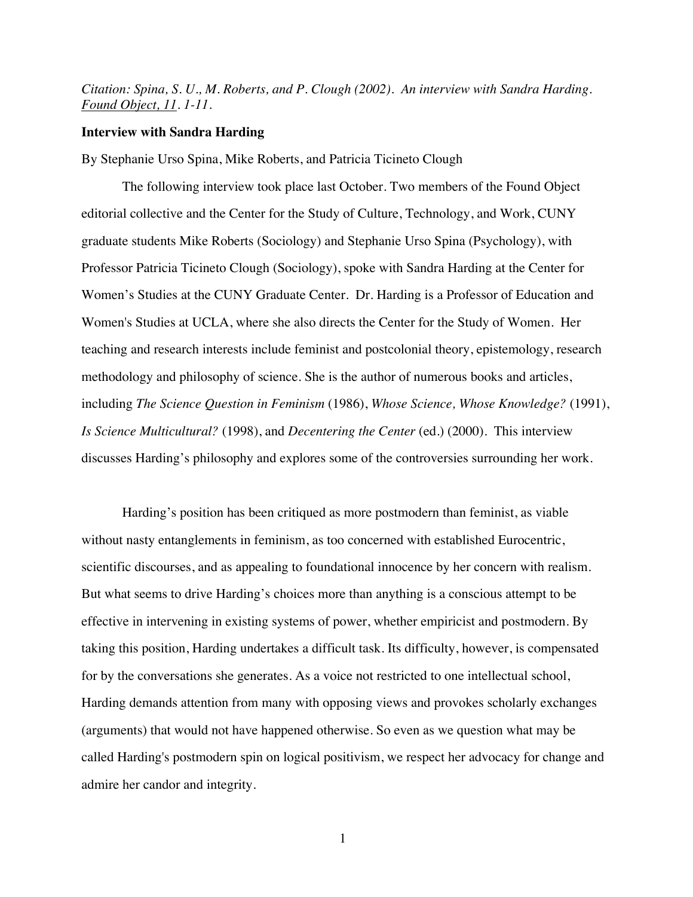## *Citation: Spina, S. U., M. Roberts, and P. Clough (2002). An interview with Sandra Harding. Found Object, 11. 1-11.*

## **Interview with Sandra Harding**

By Stephanie Urso Spina, Mike Roberts, and Patricia Ticineto Clough

The following interview took place last October. Two members of the Found Object editorial collective and the Center for the Study of Culture, Technology, and Work, CUNY graduate students Mike Roberts (Sociology) and Stephanie Urso Spina (Psychology), with Professor Patricia Ticineto Clough (Sociology), spoke with Sandra Harding at the Center for Women's Studies at the CUNY Graduate Center. Dr. Harding is a Professor of Education and Women's Studies at UCLA, where she also directs the Center for the Study of Women. Her teaching and research interests include feminist and postcolonial theory, epistemology, research methodology and philosophy of science. She is the author of numerous books and articles, including *The Science Question in Feminism* (1986), *Whose Science, Whose Knowledge?* (1991), *Is Science Multicultural?* (1998), and *Decentering the Center* (ed.) (2000). This interview discusses Harding's philosophy and explores some of the controversies surrounding her work.

Harding's position has been critiqued as more postmodern than feminist, as viable without nasty entanglements in feminism, as too concerned with established Eurocentric, scientific discourses, and as appealing to foundational innocence by her concern with realism. But what seems to drive Harding's choices more than anything is a conscious attempt to be effective in intervening in existing systems of power, whether empiricist and postmodern. By taking this position, Harding undertakes a difficult task. Its difficulty, however, is compensated for by the conversations she generates. As a voice not restricted to one intellectual school, Harding demands attention from many with opposing views and provokes scholarly exchanges (arguments) that would not have happened otherwise. So even as we question what may be called Harding's postmodern spin on logical positivism, we respect her advocacy for change and admire her candor and integrity.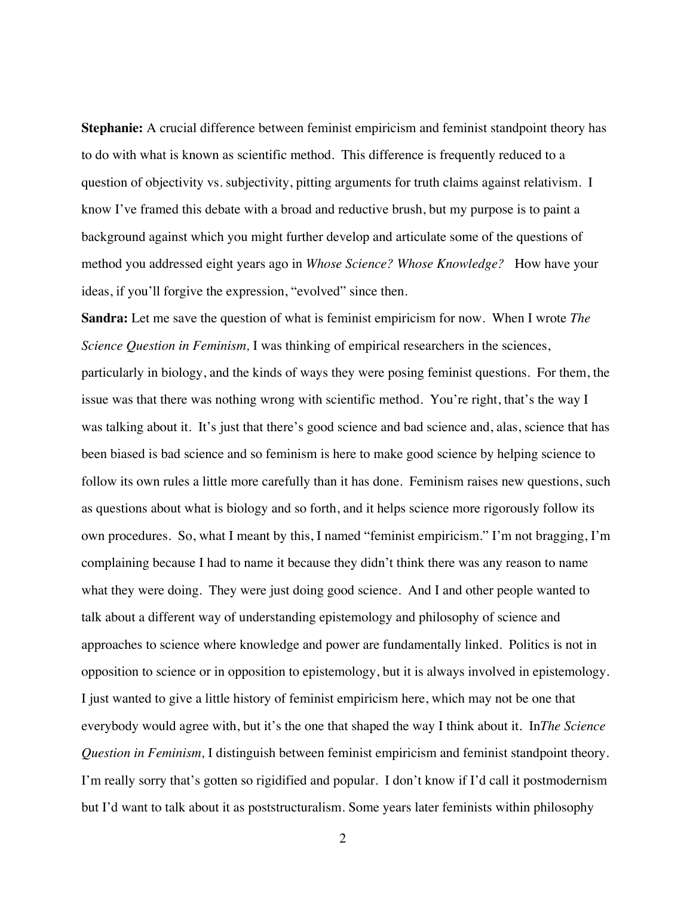**Stephanie:** A crucial difference between feminist empiricism and feminist standpoint theory has to do with what is known as scientific method. This difference is frequently reduced to a question of objectivity vs. subjectivity, pitting arguments for truth claims against relativism. I know I've framed this debate with a broad and reductive brush, but my purpose is to paint a background against which you might further develop and articulate some of the questions of method you addressed eight years ago in *Whose Science? Whose Knowledge?* How have your ideas, if you'll forgive the expression, "evolved" since then.

**Sandra:** Let me save the question of what is feminist empiricism for now. When I wrote *The Science Question in Feminism,* I was thinking of empirical researchers in the sciences, particularly in biology, and the kinds of ways they were posing feminist questions. For them, the issue was that there was nothing wrong with scientific method. You're right, that's the way I was talking about it. It's just that there's good science and bad science and, alas, science that has been biased is bad science and so feminism is here to make good science by helping science to follow its own rules a little more carefully than it has done. Feminism raises new questions, such as questions about what is biology and so forth, and it helps science more rigorously follow its own procedures. So, what I meant by this, I named "feminist empiricism." I'm not bragging, I'm complaining because I had to name it because they didn't think there was any reason to name what they were doing. They were just doing good science. And I and other people wanted to talk about a different way of understanding epistemology and philosophy of science and approaches to science where knowledge and power are fundamentally linked. Politics is not in opposition to science or in opposition to epistemology, but it is always involved in epistemology. I just wanted to give a little history of feminist empiricism here, which may not be one that everybody would agree with, but it's the one that shaped the way I think about it. In*The Science Question in Feminism,* I distinguish between feminist empiricism and feminist standpoint theory. I'm really sorry that's gotten so rigidified and popular. I don't know if I'd call it postmodernism but I'd want to talk about it as poststructuralism. Some years later feminists within philosophy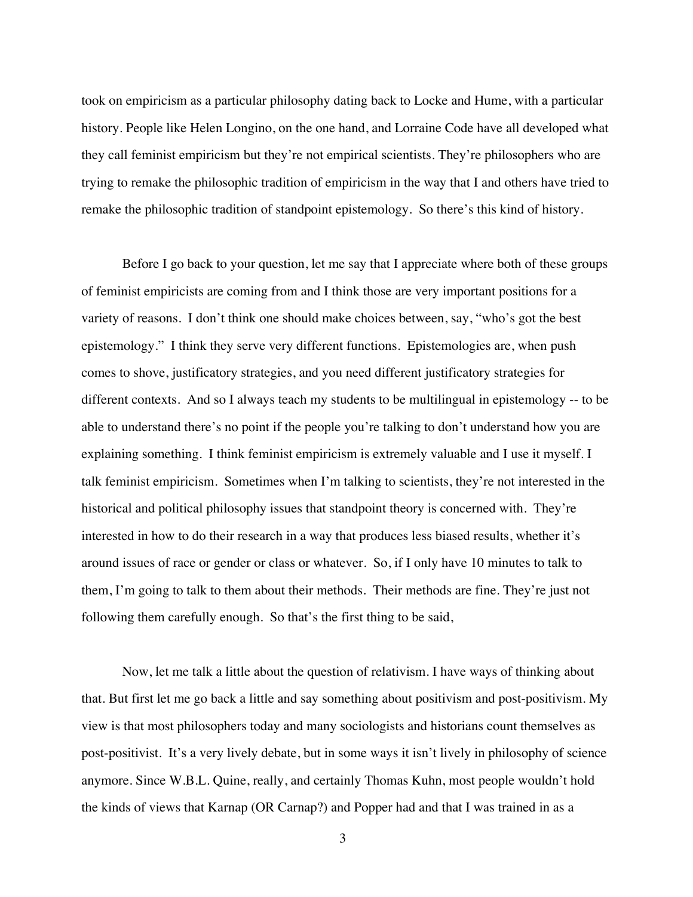took on empiricism as a particular philosophy dating back to Locke and Hume, with a particular history. People like Helen Longino, on the one hand, and Lorraine Code have all developed what they call feminist empiricism but they're not empirical scientists. They're philosophers who are trying to remake the philosophic tradition of empiricism in the way that I and others have tried to remake the philosophic tradition of standpoint epistemology. So there's this kind of history.

Before I go back to your question, let me say that I appreciate where both of these groups of feminist empiricists are coming from and I think those are very important positions for a variety of reasons. I don't think one should make choices between, say, "who's got the best epistemology." I think they serve very different functions. Epistemologies are, when push comes to shove, justificatory strategies, and you need different justificatory strategies for different contexts. And so I always teach my students to be multilingual in epistemology -- to be able to understand there's no point if the people you're talking to don't understand how you are explaining something. I think feminist empiricism is extremely valuable and I use it myself. I talk feminist empiricism. Sometimes when I'm talking to scientists, they're not interested in the historical and political philosophy issues that standpoint theory is concerned with. They're interested in how to do their research in a way that produces less biased results, whether it's around issues of race or gender or class or whatever. So, if I only have 10 minutes to talk to them, I'm going to talk to them about their methods. Their methods are fine. They're just not following them carefully enough. So that's the first thing to be said,

Now, let me talk a little about the question of relativism. I have ways of thinking about that. But first let me go back a little and say something about positivism and post-positivism. My view is that most philosophers today and many sociologists and historians count themselves as post-positivist. It's a very lively debate, but in some ways it isn't lively in philosophy of science anymore. Since W.B.L. Quine, really, and certainly Thomas Kuhn, most people wouldn't hold the kinds of views that Karnap (OR Carnap?) and Popper had and that I was trained in as a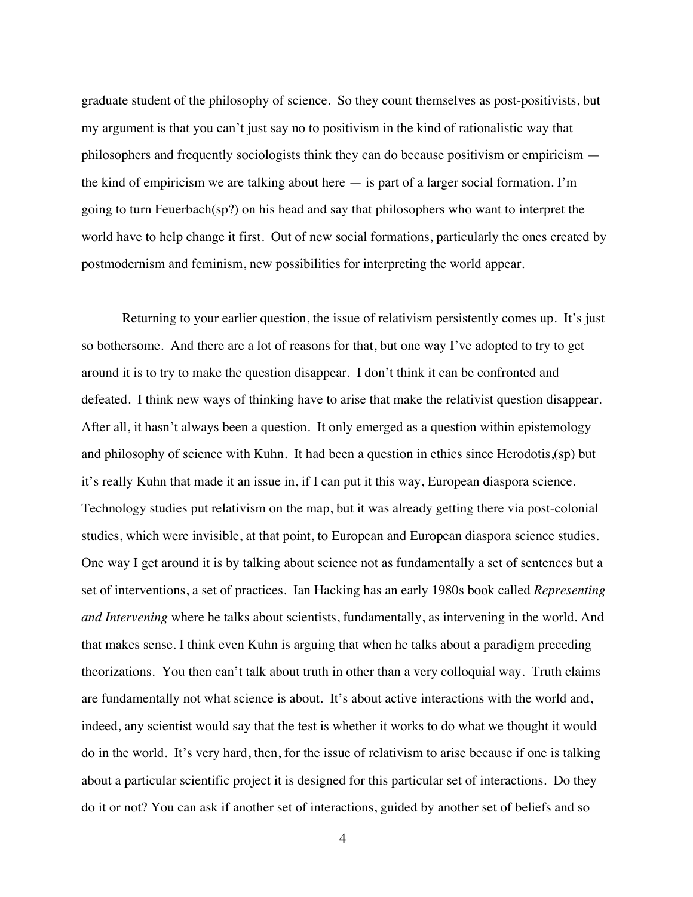graduate student of the philosophy of science. So they count themselves as post-positivists, but my argument is that you can't just say no to positivism in the kind of rationalistic way that philosophers and frequently sociologists think they can do because positivism or empiricism the kind of empiricism we are talking about here — is part of a larger social formation. I'm going to turn Feuerbach(sp?) on his head and say that philosophers who want to interpret the world have to help change it first. Out of new social formations, particularly the ones created by postmodernism and feminism, new possibilities for interpreting the world appear.

Returning to your earlier question, the issue of relativism persistently comes up. It's just so bothersome. And there are a lot of reasons for that, but one way I've adopted to try to get around it is to try to make the question disappear. I don't think it can be confronted and defeated. I think new ways of thinking have to arise that make the relativist question disappear. After all, it hasn't always been a question. It only emerged as a question within epistemology and philosophy of science with Kuhn. It had been a question in ethics since Herodotis,(sp) but it's really Kuhn that made it an issue in, if I can put it this way, European diaspora science. Technology studies put relativism on the map, but it was already getting there via post-colonial studies, which were invisible, at that point, to European and European diaspora science studies. One way I get around it is by talking about science not as fundamentally a set of sentences but a set of interventions, a set of practices. Ian Hacking has an early 1980s book called *Representing and Intervening* where he talks about scientists, fundamentally, as intervening in the world. And that makes sense. I think even Kuhn is arguing that when he talks about a paradigm preceding theorizations. You then can't talk about truth in other than a very colloquial way. Truth claims are fundamentally not what science is about. It's about active interactions with the world and, indeed, any scientist would say that the test is whether it works to do what we thought it would do in the world. It's very hard, then, for the issue of relativism to arise because if one is talking about a particular scientific project it is designed for this particular set of interactions. Do they do it or not? You can ask if another set of interactions, guided by another set of beliefs and so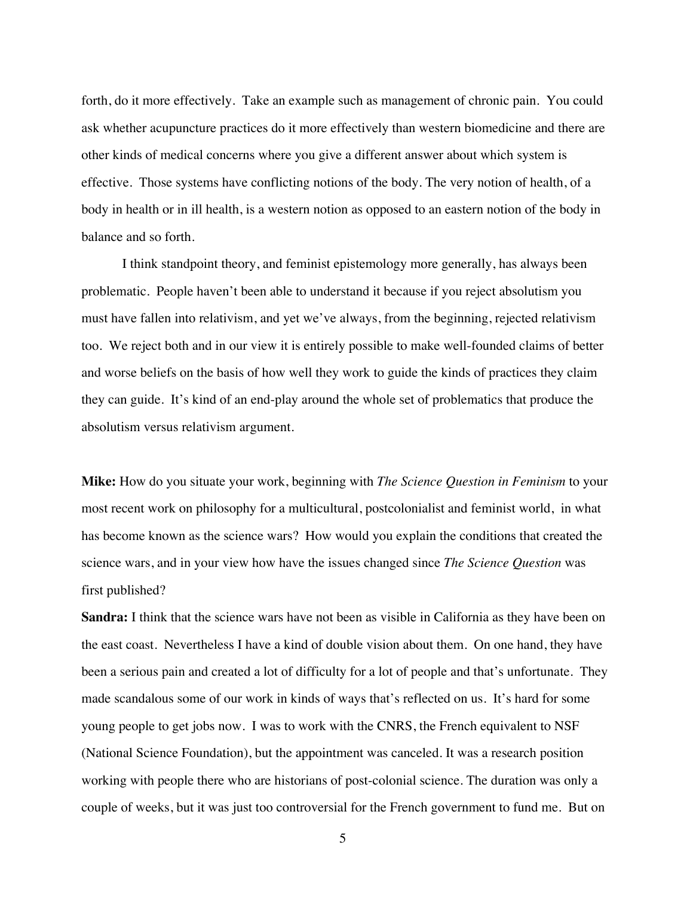forth, do it more effectively. Take an example such as management of chronic pain. You could ask whether acupuncture practices do it more effectively than western biomedicine and there are other kinds of medical concerns where you give a different answer about which system is effective. Those systems have conflicting notions of the body. The very notion of health, of a body in health or in ill health, is a western notion as opposed to an eastern notion of the body in balance and so forth.

I think standpoint theory, and feminist epistemology more generally, has always been problematic. People haven't been able to understand it because if you reject absolutism you must have fallen into relativism, and yet we've always, from the beginning, rejected relativism too. We reject both and in our view it is entirely possible to make well-founded claims of better and worse beliefs on the basis of how well they work to guide the kinds of practices they claim they can guide. It's kind of an end-play around the whole set of problematics that produce the absolutism versus relativism argument.

**Mike:** How do you situate your work, beginning with *The Science Question in Feminism* to your most recent work on philosophy for a multicultural, postcolonialist and feminist world, in what has become known as the science wars? How would you explain the conditions that created the science wars, and in your view how have the issues changed since *The Science Question* was first published?

**Sandra:** I think that the science wars have not been as visible in California as they have been on the east coast. Nevertheless I have a kind of double vision about them. On one hand, they have been a serious pain and created a lot of difficulty for a lot of people and that's unfortunate. They made scandalous some of our work in kinds of ways that's reflected on us. It's hard for some young people to get jobs now. I was to work with the CNRS, the French equivalent to NSF (National Science Foundation), but the appointment was canceled. It was a research position working with people there who are historians of post-colonial science. The duration was only a couple of weeks, but it was just too controversial for the French government to fund me. But on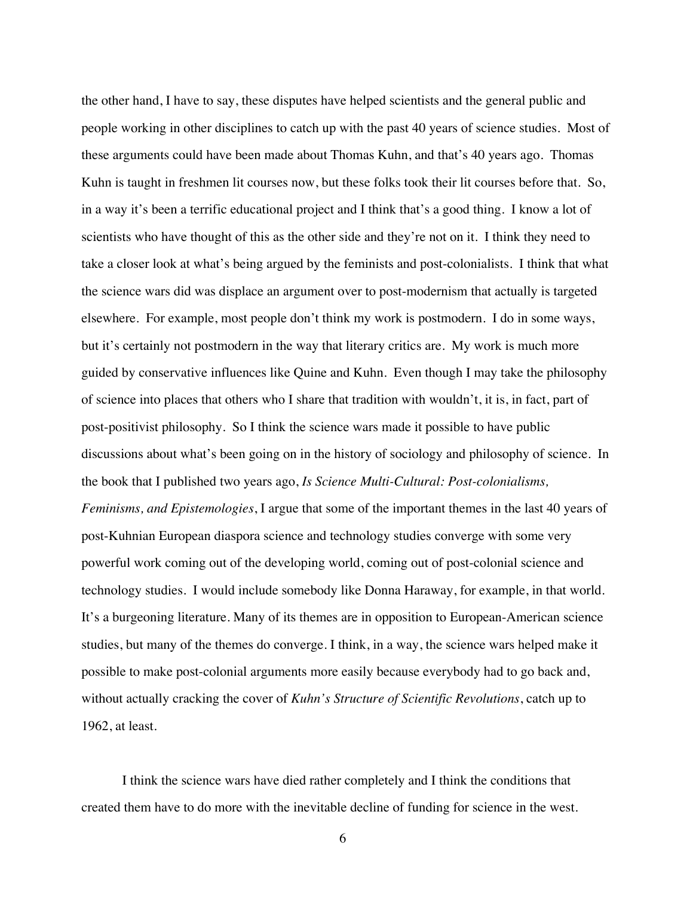the other hand, I have to say, these disputes have helped scientists and the general public and people working in other disciplines to catch up with the past 40 years of science studies. Most of these arguments could have been made about Thomas Kuhn, and that's 40 years ago. Thomas Kuhn is taught in freshmen lit courses now, but these folks took their lit courses before that. So, in a way it's been a terrific educational project and I think that's a good thing. I know a lot of scientists who have thought of this as the other side and they're not on it. I think they need to take a closer look at what's being argued by the feminists and post-colonialists. I think that what the science wars did was displace an argument over to post-modernism that actually is targeted elsewhere. For example, most people don't think my work is postmodern. I do in some ways, but it's certainly not postmodern in the way that literary critics are. My work is much more guided by conservative influences like Quine and Kuhn. Even though I may take the philosophy of science into places that others who I share that tradition with wouldn't, it is, in fact, part of post-positivist philosophy. So I think the science wars made it possible to have public discussions about what's been going on in the history of sociology and philosophy of science. In the book that I published two years ago, *Is Science Multi-Cultural: Post-colonialisms, Feminisms, and Epistemologies*, I argue that some of the important themes in the last 40 years of post-Kuhnian European diaspora science and technology studies converge with some very powerful work coming out of the developing world, coming out of post-colonial science and technology studies. I would include somebody like Donna Haraway, for example, in that world. It's a burgeoning literature. Many of its themes are in opposition to European-American science studies, but many of the themes do converge. I think, in a way, the science wars helped make it possible to make post-colonial arguments more easily because everybody had to go back and, without actually cracking the cover of *Kuhn's Structure of Scientific Revolutions*, catch up to 1962, at least.

I think the science wars have died rather completely and I think the conditions that created them have to do more with the inevitable decline of funding for science in the west.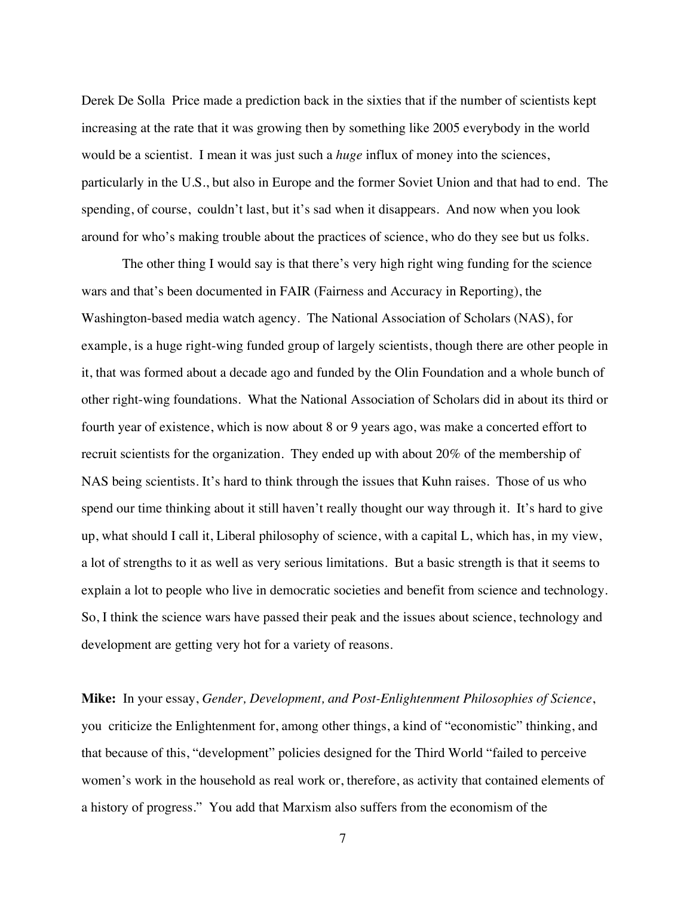Derek De Solla Price made a prediction back in the sixties that if the number of scientists kept increasing at the rate that it was growing then by something like 2005 everybody in the world would be a scientist. I mean it was just such a *huge* influx of money into the sciences, particularly in the U.S., but also in Europe and the former Soviet Union and that had to end. The spending, of course, couldn't last, but it's sad when it disappears. And now when you look around for who's making trouble about the practices of science, who do they see but us folks.

The other thing I would say is that there's very high right wing funding for the science wars and that's been documented in FAIR (Fairness and Accuracy in Reporting), the Washington-based media watch agency. The National Association of Scholars (NAS), for example, is a huge right-wing funded group of largely scientists, though there are other people in it, that was formed about a decade ago and funded by the Olin Foundation and a whole bunch of other right-wing foundations. What the National Association of Scholars did in about its third or fourth year of existence, which is now about 8 or 9 years ago, was make a concerted effort to recruit scientists for the organization. They ended up with about 20% of the membership of NAS being scientists. It's hard to think through the issues that Kuhn raises. Those of us who spend our time thinking about it still haven't really thought our way through it. It's hard to give up, what should I call it, Liberal philosophy of science, with a capital L, which has, in my view, a lot of strengths to it as well as very serious limitations. But a basic strength is that it seems to explain a lot to people who live in democratic societies and benefit from science and technology. So, I think the science wars have passed their peak and the issues about science, technology and development are getting very hot for a variety of reasons.

**Mike:** In your essay, *Gender, Development, and Post-Enlightenment Philosophies of Science*, you criticize the Enlightenment for, among other things, a kind of "economistic" thinking, and that because of this, "development" policies designed for the Third World "failed to perceive women's work in the household as real work or, therefore, as activity that contained elements of a history of progress." You add that Marxism also suffers from the economism of the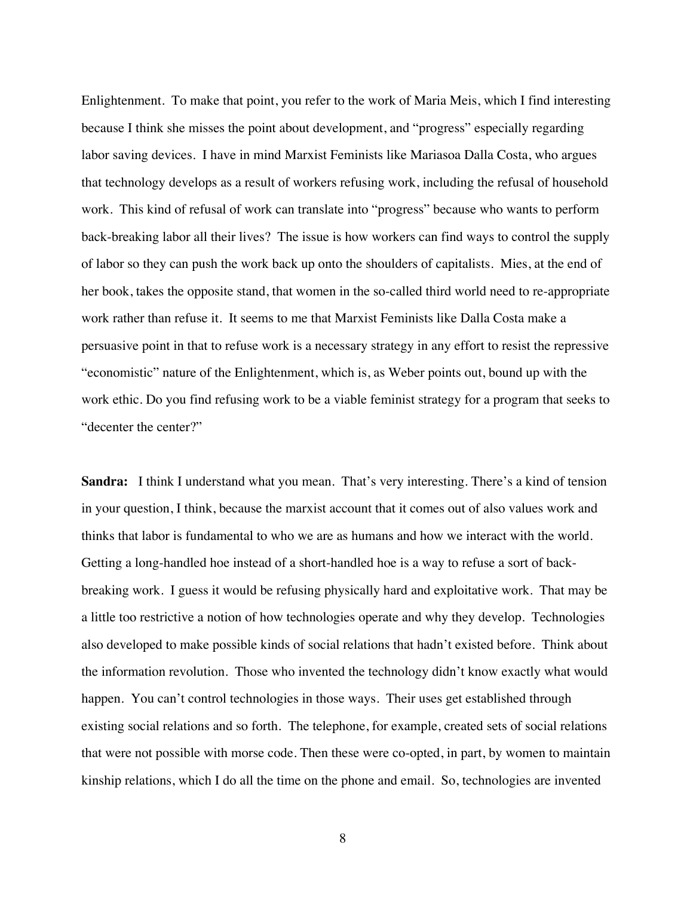Enlightenment. To make that point, you refer to the work of Maria Meis, which I find interesting because I think she misses the point about development, and "progress" especially regarding labor saving devices. I have in mind Marxist Feminists like Mariasoa Dalla Costa, who argues that technology develops as a result of workers refusing work, including the refusal of household work. This kind of refusal of work can translate into "progress" because who wants to perform back-breaking labor all their lives? The issue is how workers can find ways to control the supply of labor so they can push the work back up onto the shoulders of capitalists. Mies, at the end of her book, takes the opposite stand, that women in the so-called third world need to re-appropriate work rather than refuse it. It seems to me that Marxist Feminists like Dalla Costa make a persuasive point in that to refuse work is a necessary strategy in any effort to resist the repressive "economistic" nature of the Enlightenment, which is, as Weber points out, bound up with the work ethic. Do you find refusing work to be a viable feminist strategy for a program that seeks to "decenter the center?"

**Sandra:** I think I understand what you mean. That's very interesting. There's a kind of tension in your question, I think, because the marxist account that it comes out of also values work and thinks that labor is fundamental to who we are as humans and how we interact with the world. Getting a long-handled hoe instead of a short-handled hoe is a way to refuse a sort of backbreaking work. I guess it would be refusing physically hard and exploitative work. That may be a little too restrictive a notion of how technologies operate and why they develop. Technologies also developed to make possible kinds of social relations that hadn't existed before. Think about the information revolution. Those who invented the technology didn't know exactly what would happen. You can't control technologies in those ways. Their uses get established through existing social relations and so forth. The telephone, for example, created sets of social relations that were not possible with morse code. Then these were co-opted, in part, by women to maintain kinship relations, which I do all the time on the phone and email. So, technologies are invented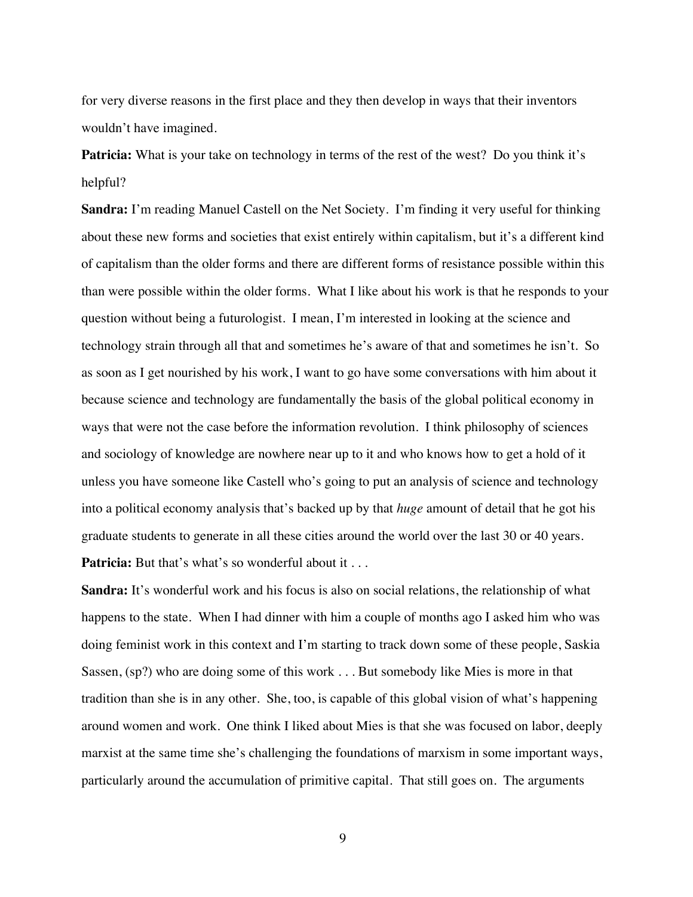for very diverse reasons in the first place and they then develop in ways that their inventors wouldn't have imagined.

**Patricia:** What is your take on technology in terms of the rest of the west? Do you think it's helpful?

**Sandra:** I'm reading Manuel Castell on the Net Society. I'm finding it very useful for thinking about these new forms and societies that exist entirely within capitalism, but it's a different kind of capitalism than the older forms and there are different forms of resistance possible within this than were possible within the older forms. What I like about his work is that he responds to your question without being a futurologist. I mean, I'm interested in looking at the science and technology strain through all that and sometimes he's aware of that and sometimes he isn't. So as soon as I get nourished by his work, I want to go have some conversations with him about it because science and technology are fundamentally the basis of the global political economy in ways that were not the case before the information revolution. I think philosophy of sciences and sociology of knowledge are nowhere near up to it and who knows how to get a hold of it unless you have someone like Castell who's going to put an analysis of science and technology into a political economy analysis that's backed up by that *huge* amount of detail that he got his graduate students to generate in all these cities around the world over the last 30 or 40 years. **Patricia:** But that's what's so wonderful about it . . .

**Sandra:** It's wonderful work and his focus is also on social relations, the relationship of what happens to the state. When I had dinner with him a couple of months ago I asked him who was doing feminist work in this context and I'm starting to track down some of these people, Saskia Sassen, (sp?) who are doing some of this work . . . But somebody like Mies is more in that tradition than she is in any other. She, too, is capable of this global vision of what's happening around women and work. One think I liked about Mies is that she was focused on labor, deeply marxist at the same time she's challenging the foundations of marxism in some important ways, particularly around the accumulation of primitive capital. That still goes on. The arguments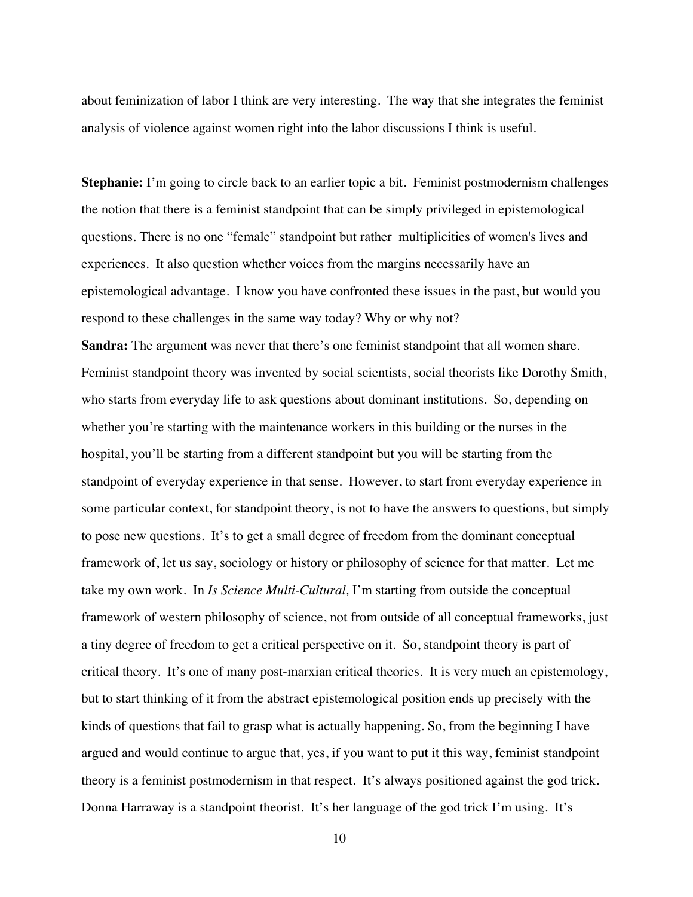about feminization of labor I think are very interesting. The way that she integrates the feminist analysis of violence against women right into the labor discussions I think is useful.

**Stephanie:** I'm going to circle back to an earlier topic a bit. Feminist postmodernism challenges the notion that there is a feminist standpoint that can be simply privileged in epistemological questions. There is no one "female" standpoint but rather multiplicities of women's lives and experiences. It also question whether voices from the margins necessarily have an epistemological advantage. I know you have confronted these issues in the past, but would you respond to these challenges in the same way today? Why or why not?

**Sandra:** The argument was never that there's one feminist standpoint that all women share. Feminist standpoint theory was invented by social scientists, social theorists like Dorothy Smith, who starts from everyday life to ask questions about dominant institutions. So, depending on whether you're starting with the maintenance workers in this building or the nurses in the hospital, you'll be starting from a different standpoint but you will be starting from the standpoint of everyday experience in that sense. However, to start from everyday experience in some particular context, for standpoint theory, is not to have the answers to questions, but simply to pose new questions. It's to get a small degree of freedom from the dominant conceptual framework of, let us say, sociology or history or philosophy of science for that matter. Let me take my own work. In *Is Science Multi-Cultural,* I'm starting from outside the conceptual framework of western philosophy of science, not from outside of all conceptual frameworks, just a tiny degree of freedom to get a critical perspective on it. So, standpoint theory is part of critical theory. It's one of many post-marxian critical theories. It is very much an epistemology, but to start thinking of it from the abstract epistemological position ends up precisely with the kinds of questions that fail to grasp what is actually happening. So, from the beginning I have argued and would continue to argue that, yes, if you want to put it this way, feminist standpoint theory is a feminist postmodernism in that respect. It's always positioned against the god trick. Donna Harraway is a standpoint theorist. It's her language of the god trick I'm using. It's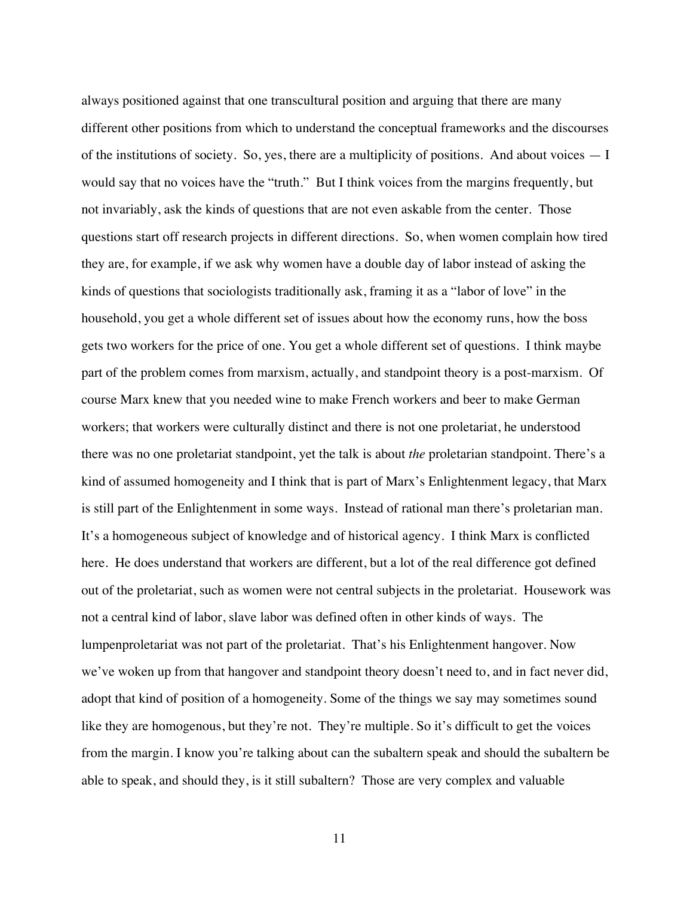always positioned against that one transcultural position and arguing that there are many different other positions from which to understand the conceptual frameworks and the discourses of the institutions of society. So, yes, there are a multiplicity of positions. And about voices — I would say that no voices have the "truth." But I think voices from the margins frequently, but not invariably, ask the kinds of questions that are not even askable from the center. Those questions start off research projects in different directions. So, when women complain how tired they are, for example, if we ask why women have a double day of labor instead of asking the kinds of questions that sociologists traditionally ask, framing it as a "labor of love" in the household, you get a whole different set of issues about how the economy runs, how the boss gets two workers for the price of one. You get a whole different set of questions. I think maybe part of the problem comes from marxism, actually, and standpoint theory is a post-marxism. Of course Marx knew that you needed wine to make French workers and beer to make German workers; that workers were culturally distinct and there is not one proletariat, he understood there was no one proletariat standpoint, yet the talk is about *the* proletarian standpoint. There's a kind of assumed homogeneity and I think that is part of Marx's Enlightenment legacy, that Marx is still part of the Enlightenment in some ways. Instead of rational man there's proletarian man. It's a homogeneous subject of knowledge and of historical agency. I think Marx is conflicted here. He does understand that workers are different, but a lot of the real difference got defined out of the proletariat, such as women were not central subjects in the proletariat. Housework was not a central kind of labor, slave labor was defined often in other kinds of ways. The lumpenproletariat was not part of the proletariat. That's his Enlightenment hangover. Now we've woken up from that hangover and standpoint theory doesn't need to, and in fact never did, adopt that kind of position of a homogeneity. Some of the things we say may sometimes sound like they are homogenous, but they're not. They're multiple. So it's difficult to get the voices from the margin. I know you're talking about can the subaltern speak and should the subaltern be able to speak, and should they, is it still subaltern? Those are very complex and valuable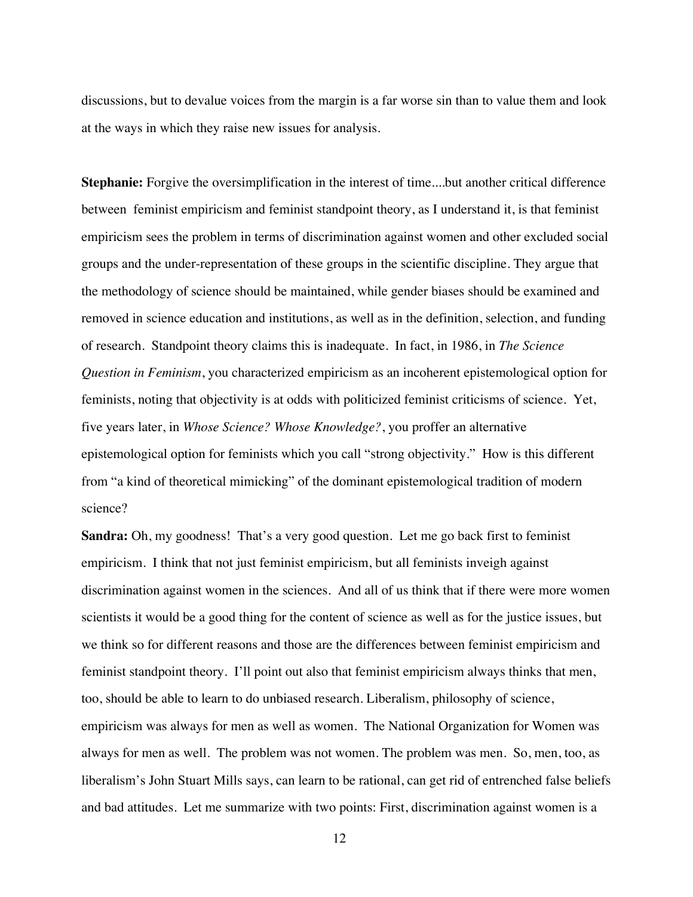discussions, but to devalue voices from the margin is a far worse sin than to value them and look at the ways in which they raise new issues for analysis.

**Stephanie:** Forgive the oversimplification in the interest of time....but another critical difference between feminist empiricism and feminist standpoint theory, as I understand it, is that feminist empiricism sees the problem in terms of discrimination against women and other excluded social groups and the under-representation of these groups in the scientific discipline. They argue that the methodology of science should be maintained, while gender biases should be examined and removed in science education and institutions, as well as in the definition, selection, and funding of research. Standpoint theory claims this is inadequate. In fact, in 1986, in *The Science Question in Feminism*, you characterized empiricism as an incoherent epistemological option for feminists, noting that objectivity is at odds with politicized feminist criticisms of science. Yet, five years later, in *Whose Science? Whose Knowledge?*, you proffer an alternative epistemological option for feminists which you call "strong objectivity." How is this different from "a kind of theoretical mimicking" of the dominant epistemological tradition of modern science?

**Sandra:** Oh, my goodness! That's a very good question. Let me go back first to feminist empiricism. I think that not just feminist empiricism, but all feminists inveigh against discrimination against women in the sciences. And all of us think that if there were more women scientists it would be a good thing for the content of science as well as for the justice issues, but we think so for different reasons and those are the differences between feminist empiricism and feminist standpoint theory. I'll point out also that feminist empiricism always thinks that men, too, should be able to learn to do unbiased research. Liberalism, philosophy of science, empiricism was always for men as well as women. The National Organization for Women was always for men as well. The problem was not women. The problem was men. So, men, too, as liberalism's John Stuart Mills says, can learn to be rational, can get rid of entrenched false beliefs and bad attitudes. Let me summarize with two points: First, discrimination against women is a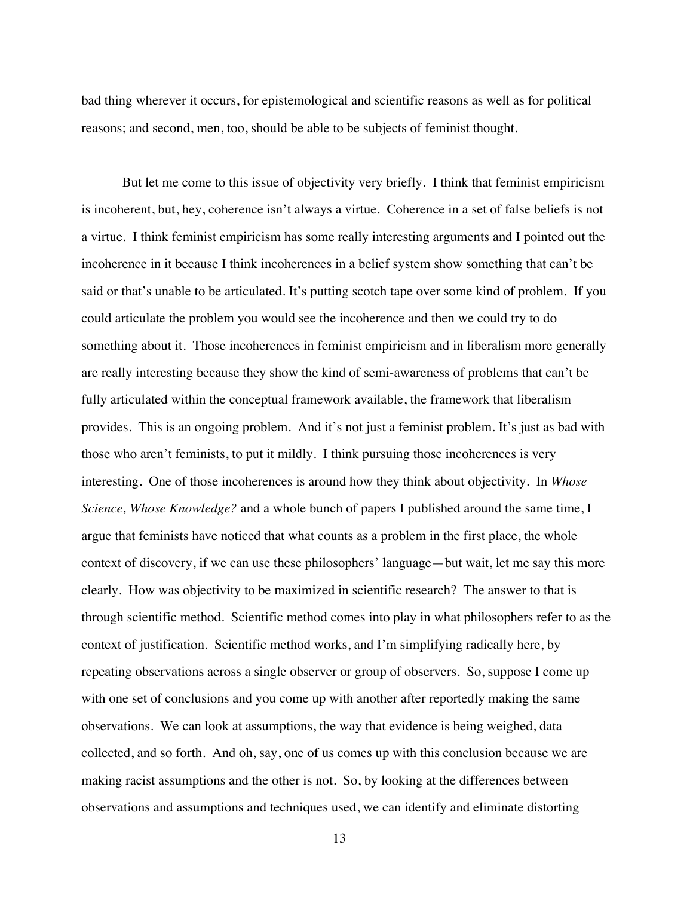bad thing wherever it occurs, for epistemological and scientific reasons as well as for political reasons; and second, men, too, should be able to be subjects of feminist thought.

But let me come to this issue of objectivity very briefly. I think that feminist empiricism is incoherent, but, hey, coherence isn't always a virtue. Coherence in a set of false beliefs is not a virtue. I think feminist empiricism has some really interesting arguments and I pointed out the incoherence in it because I think incoherences in a belief system show something that can't be said or that's unable to be articulated. It's putting scotch tape over some kind of problem. If you could articulate the problem you would see the incoherence and then we could try to do something about it. Those incoherences in feminist empiricism and in liberalism more generally are really interesting because they show the kind of semi-awareness of problems that can't be fully articulated within the conceptual framework available, the framework that liberalism provides. This is an ongoing problem. And it's not just a feminist problem. It's just as bad with those who aren't feminists, to put it mildly. I think pursuing those incoherences is very interesting. One of those incoherences is around how they think about objectivity. In *Whose Science, Whose Knowledge?* and a whole bunch of papers I published around the same time, I argue that feminists have noticed that what counts as a problem in the first place, the whole context of discovery, if we can use these philosophers' language—but wait, let me say this more clearly. How was objectivity to be maximized in scientific research? The answer to that is through scientific method. Scientific method comes into play in what philosophers refer to as the context of justification. Scientific method works, and I'm simplifying radically here, by repeating observations across a single observer or group of observers. So, suppose I come up with one set of conclusions and you come up with another after reportedly making the same observations. We can look at assumptions, the way that evidence is being weighed, data collected, and so forth. And oh, say, one of us comes up with this conclusion because we are making racist assumptions and the other is not. So, by looking at the differences between observations and assumptions and techniques used, we can identify and eliminate distorting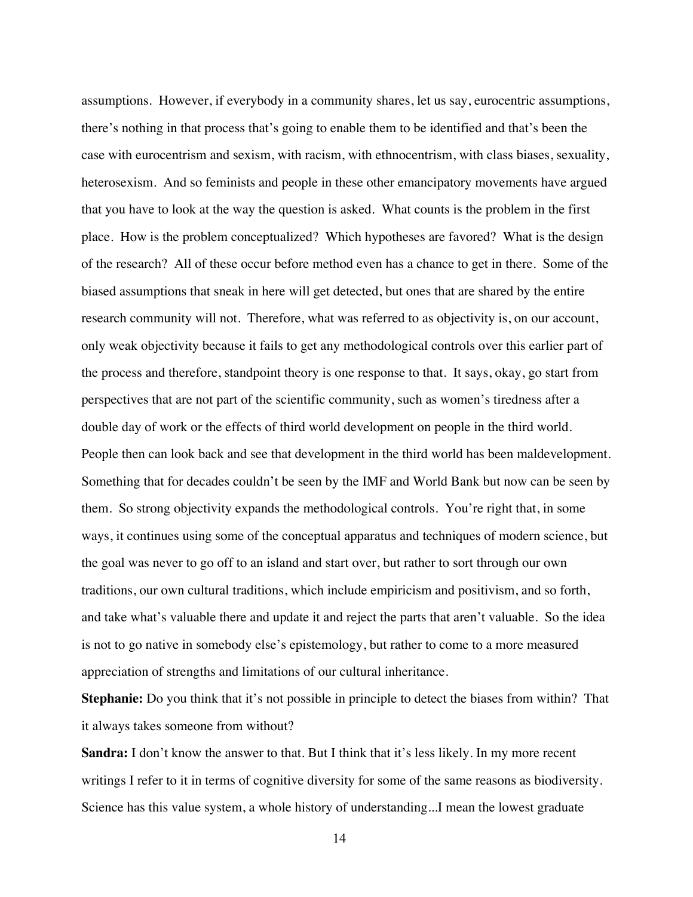assumptions. However, if everybody in a community shares, let us say, eurocentric assumptions, there's nothing in that process that's going to enable them to be identified and that's been the case with eurocentrism and sexism, with racism, with ethnocentrism, with class biases, sexuality, heterosexism. And so feminists and people in these other emancipatory movements have argued that you have to look at the way the question is asked. What counts is the problem in the first place. How is the problem conceptualized? Which hypotheses are favored? What is the design of the research? All of these occur before method even has a chance to get in there. Some of the biased assumptions that sneak in here will get detected, but ones that are shared by the entire research community will not. Therefore, what was referred to as objectivity is, on our account, only weak objectivity because it fails to get any methodological controls over this earlier part of the process and therefore, standpoint theory is one response to that. It says, okay, go start from perspectives that are not part of the scientific community, such as women's tiredness after a double day of work or the effects of third world development on people in the third world. People then can look back and see that development in the third world has been maldevelopment. Something that for decades couldn't be seen by the IMF and World Bank but now can be seen by them. So strong objectivity expands the methodological controls. You're right that, in some ways, it continues using some of the conceptual apparatus and techniques of modern science, but the goal was never to go off to an island and start over, but rather to sort through our own traditions, our own cultural traditions, which include empiricism and positivism, and so forth, and take what's valuable there and update it and reject the parts that aren't valuable. So the idea is not to go native in somebody else's epistemology, but rather to come to a more measured appreciation of strengths and limitations of our cultural inheritance.

**Stephanie:** Do you think that it's not possible in principle to detect the biases from within? That it always takes someone from without?

**Sandra:** I don't know the answer to that. But I think that it's less likely. In my more recent writings I refer to it in terms of cognitive diversity for some of the same reasons as biodiversity. Science has this value system, a whole history of understanding...I mean the lowest graduate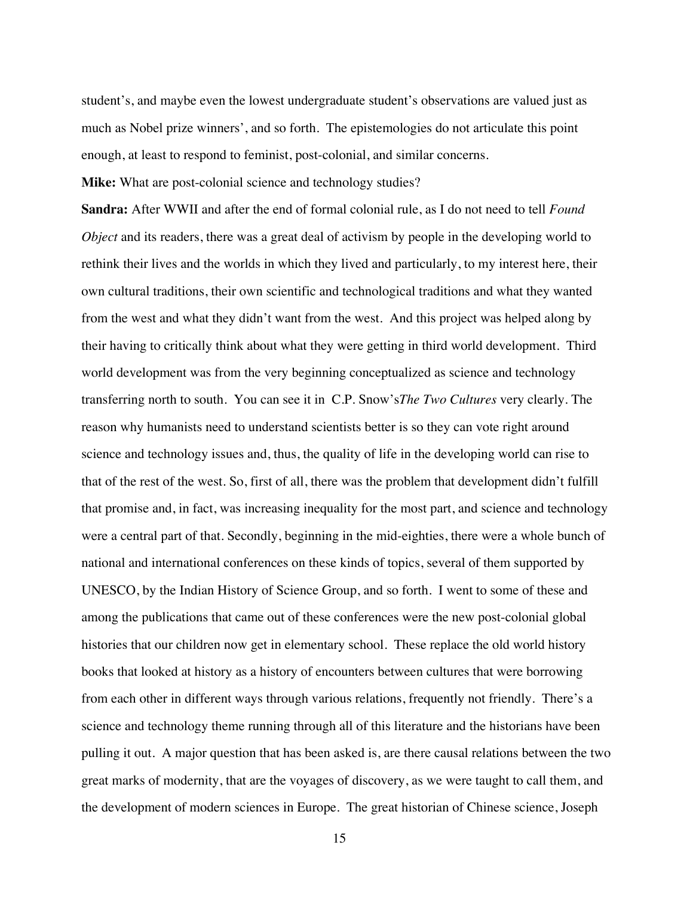student's, and maybe even the lowest undergraduate student's observations are valued just as much as Nobel prize winners', and so forth. The epistemologies do not articulate this point enough, at least to respond to feminist, post-colonial, and similar concerns.

**Mike:** What are post-colonial science and technology studies?

**Sandra:** After WWII and after the end of formal colonial rule, as I do not need to tell *Found Object* and its readers, there was a great deal of activism by people in the developing world to rethink their lives and the worlds in which they lived and particularly, to my interest here, their own cultural traditions, their own scientific and technological traditions and what they wanted from the west and what they didn't want from the west. And this project was helped along by their having to critically think about what they were getting in third world development. Third world development was from the very beginning conceptualized as science and technology transferring north to south. You can see it in C.P. Snow's*The Two Cultures* very clearly. The reason why humanists need to understand scientists better is so they can vote right around science and technology issues and, thus, the quality of life in the developing world can rise to that of the rest of the west. So, first of all, there was the problem that development didn't fulfill that promise and, in fact, was increasing inequality for the most part, and science and technology were a central part of that. Secondly, beginning in the mid-eighties, there were a whole bunch of national and international conferences on these kinds of topics, several of them supported by UNESCO, by the Indian History of Science Group, and so forth. I went to some of these and among the publications that came out of these conferences were the new post-colonial global histories that our children now get in elementary school. These replace the old world history books that looked at history as a history of encounters between cultures that were borrowing from each other in different ways through various relations, frequently not friendly. There's a science and technology theme running through all of this literature and the historians have been pulling it out. A major question that has been asked is, are there causal relations between the two great marks of modernity, that are the voyages of discovery, as we were taught to call them, and the development of modern sciences in Europe. The great historian of Chinese science, Joseph